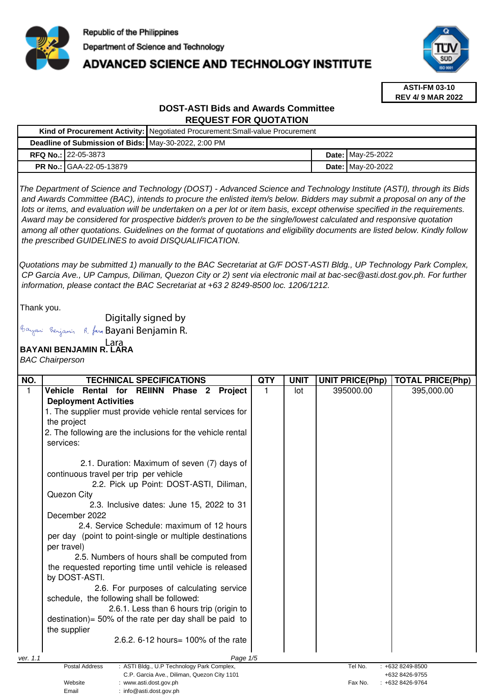

## **ADVANCED SCIENCE AND TECHNOLOGY INSTITUTE**



**ASTI-FM 03-10 REV 4/ 9 MAR 2022**

## **DOST-ASTI Bids and Awards Committee REQUEST FOR QUOTATION**

|                                                      | Kind of Procurement Activity: Negotiated Procurement: Small-value Procurement |                          |
|------------------------------------------------------|-------------------------------------------------------------------------------|--------------------------|
| Deadline of Submission of Bids: May-30-2022, 2:00 PM |                                                                               |                          |
| <b>RFQ No.: 22-05-3873</b>                           |                                                                               | <b>Date: May-25-2022</b> |
| <b>PR No.: GAA-22-05-13879</b>                       |                                                                               | <b>Date: May-20-2022</b> |

The Department of Science and Technology (DOST) - Advanced Science and Technology Institute (ASTI), through its Bids and Awards Committee (BAC), intends to procure the enlisted item/s below. Bidders may submit a proposal on any of the lots or items, and evaluation will be undertaken on a per lot or item basis, except otherwise specified in the requirements. Award may be considered for prospective bidder/s proven to be the single/lowest calculated and responsive quotation among all other quotations. Guidelines on the format of quotations and eligibility documents are listed below. Kindly follow the prescribed GUIDELINES to avoid DISQUALIFICATION.

Quotations may be submitted 1) manually to the BAC Secretariat at G/F DOST-ASTI Bldg., UP Technology Park Complex, CP Garcia Ave., UP Campus, Diliman, Quezon City or 2) sent via electronic mail at bac-sec@asti.dost.gov.ph. For further information, please contact the BAC Secretariat at +63 2 8249-8500 loc. 1206/1212.

Thank you.

Digitally signed by

Email : info@asti.dost.gov.ph

Bayani Benjamin R. Jun Bayani Benjamin R.

# **BAYANI BENJAMIN R. LARA**  Lara

BAC Chairperson

| NO.      | <b>TECHNICAL SPECIFICATIONS</b>                                                       | <b>QTY</b> | <b>UNIT</b> | <b>UNIT PRICE(Php)</b> | <b>TOTAL PRICE(Php)</b>          |
|----------|---------------------------------------------------------------------------------------|------------|-------------|------------------------|----------------------------------|
| 1        | Vehicle<br>Rental for REIINN Phase 2<br><b>Project</b>                                |            | lot         | 395000.00              | 395,000.00                       |
|          | <b>Deployment Activities</b>                                                          |            |             |                        |                                  |
|          | 1. The supplier must provide vehicle rental services for                              |            |             |                        |                                  |
|          | the project                                                                           |            |             |                        |                                  |
|          | 2. The following are the inclusions for the vehicle rental                            |            |             |                        |                                  |
|          | services:                                                                             |            |             |                        |                                  |
|          |                                                                                       |            |             |                        |                                  |
|          | 2.1. Duration: Maximum of seven (7) days of<br>continuous travel per trip per vehicle |            |             |                        |                                  |
|          | 2.2. Pick up Point: DOST-ASTI, Diliman,                                               |            |             |                        |                                  |
|          | Quezon City                                                                           |            |             |                        |                                  |
|          | 2.3. Inclusive dates: June 15, 2022 to 31                                             |            |             |                        |                                  |
|          | December 2022                                                                         |            |             |                        |                                  |
|          | 2.4. Service Schedule: maximum of 12 hours                                            |            |             |                        |                                  |
|          | per day (point to point-single or multiple destinations                               |            |             |                        |                                  |
|          | per travel)                                                                           |            |             |                        |                                  |
|          | 2.5. Numbers of hours shall be computed from                                          |            |             |                        |                                  |
|          | the requested reporting time until vehicle is released                                |            |             |                        |                                  |
|          | by DOST-ASTI.                                                                         |            |             |                        |                                  |
|          | 2.6. For purposes of calculating service                                              |            |             |                        |                                  |
|          | schedule, the following shall be followed:                                            |            |             |                        |                                  |
|          | 2.6.1. Less than 6 hours trip (origin to                                              |            |             |                        |                                  |
|          | destination) = $50\%$ of the rate per day shall be paid to                            |            |             |                        |                                  |
|          | the supplier                                                                          |            |             |                        |                                  |
|          | 2.6.2. 6-12 hours= 100% of the rate                                                   |            |             |                        |                                  |
| ver. 1.1 | Page 1/5                                                                              |            |             |                        |                                  |
|          | <b>Postal Address</b><br>: ASTI Bldg., U.P Technology Park Complex,                   |            |             | Tel No.                | $: +6328249 - 8500$              |
|          | C.P. Garcia Ave., Diliman, Quezon City 1101<br>Website<br>:www.asti.dost.gov.ph       |            |             | Fax No.                | +632 8426-9755<br>+632 8426-9764 |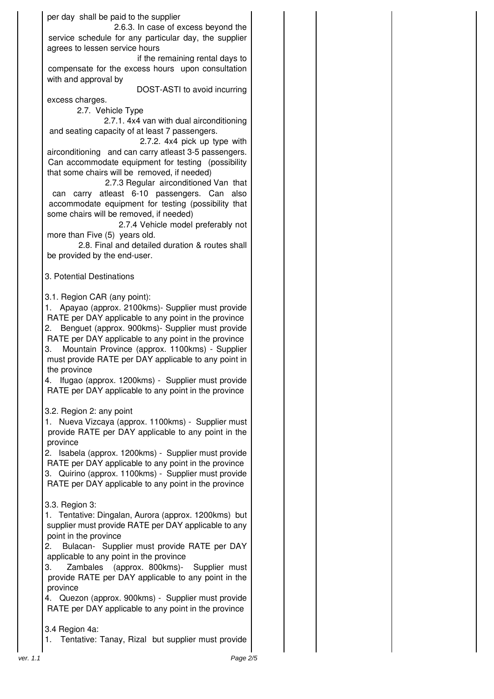per day shall be paid to the supplier

2.6.3. In case of excess beyond the service schedule for any particular day, the supplier agrees to lessen service hours

if the remaining rental days to compensate for the excess hours upon consultation with and approval by

DOST-ASTI to avoid incurring

excess charges.

2.7. Vehicle Type

2.7.1. 4x4 van with dual airconditioning and seating capacity of at least 7 passengers.

2.7.2. 4x4 pick up type with airconditioning and can carry atleast 3-5 passengers. Can accommodate equipment for testing (possibility that some chairs will be removed, if needed)

2.7.3 Regular airconditioned Van that can carry atleast 6-10 passengers. Can also accommodate equipment for testing (possibility that some chairs will be removed, if needed)

2.7.4 Vehicle model preferably not more than Five (5) years old.

2.8. Final and detailed duration & routes shall be provided by the end-user.

3. Potential Destinations

3.1. Region CAR (any point):

1. Apayao (approx. 2100kms)- Supplier must provide RATE per DAY applicable to any point in the province

2. Benguet (approx. 900kms)- Supplier must provide RATE per DAY applicable to any point in the province

3. Mountain Province (approx. 1100kms) - Supplier must provide RATE per DAY applicable to any point in the province

4. Ifugao (approx. 1200kms) - Supplier must provide RATE per DAY applicable to any point in the province

3.2. Region 2: any point

1. Nueva Vizcaya (approx. 1100kms) - Supplier must provide RATE per DAY applicable to any point in the province

2. Isabela (approx. 1200kms) - Supplier must provide RATE per DAY applicable to any point in the province

3. Quirino (approx. 1100kms) - Supplier must provide RATE per DAY applicable to any point in the province

## 3.3. Region 3:

1. Tentative: Dingalan, Aurora (approx. 1200kms) but supplier must provide RATE per DAY applicable to any point in the province

2. Bulacan- Supplier must provide RATE per DAY applicable to any point in the province

3. Zambales (approx. 800kms)- Supplier must provide RATE per DAY applicable to any point in the province

4. Quezon (approx. 900kms) - Supplier must provide RATE per DAY applicable to any point in the province

## 3.4 Region 4a:

1. Tentative: Tanay, Rizal but supplier must provide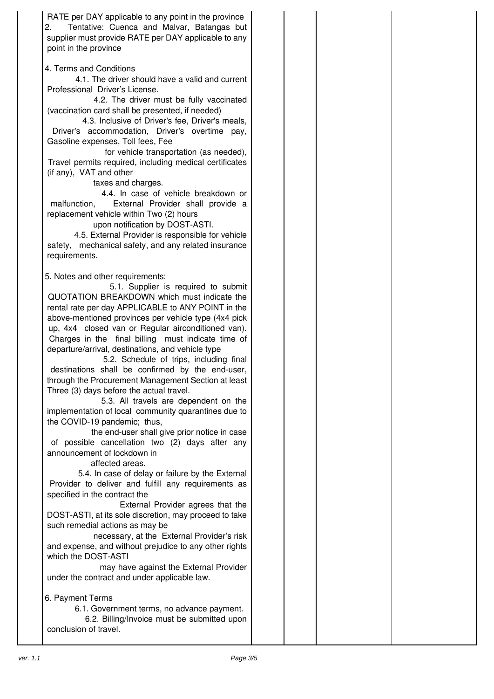RATE per DAY applicable to any point in the province 2. Tentative: Cuenca and Malvar, Batangas but supplier must provide RATE per DAY applicable to any point in the province

4. Terms and Conditions

4.1. The driver should have a valid and current Professional Driver's License.

4.2. The driver must be fully vaccinated (vaccination card shall be presented, if needed)

4.3. Inclusive of Driver's fee, Driver's meals, Driver's accommodation, Driver's overtime pay, Gasoline expenses, Toll fees, Fee

for vehicle transportation (as needed), Travel permits required, including medical certificates (if any), VAT and other

taxes and charges.

4.4. In case of vehicle breakdown or malfunction, External Provider shall provide a replacement vehicle within Two (2) hours

upon notification by DOST-ASTI.

4.5. External Provider is responsible for vehicle safety, mechanical safety, and any related insurance requirements.

5. Notes and other requirements:

5.1. Supplier is required to submit QUOTATION BREAKDOWN which must indicate the rental rate per day APPLICABLE to ANY POINT in the above-mentioned provinces per vehicle type (4x4 pick up, 4x4 closed van or Regular airconditioned van). Charges in the final billing must indicate time of departure/arrival, destinations, and vehicle type

5.2. Schedule of trips, including final destinations shall be confirmed by the end-user, through the Procurement Management Section at least Three (3) days before the actual travel.

5.3. All travels are dependent on the implementation of local community quarantines due to the COVID-19 pandemic; thus,

the end-user shall give prior notice in case of possible cancellation two (2) days after any announcement of lockdown in

affected areas.

5.4. In case of delay or failure by the External Provider to deliver and fulfill any requirements as specified in the contract the

External Provider agrees that the DOST-ASTI, at its sole discretion, may proceed to take such remedial actions as may be

necessary, at the External Provider's risk and expense, and without prejudice to any other rights which the DOST-ASTI

may have against the External Provider under the contract and under applicable law.

## 6. Payment Terms

 6.1. Government terms, no advance payment. 6.2. Billing/Invoice must be submitted upon conclusion of travel.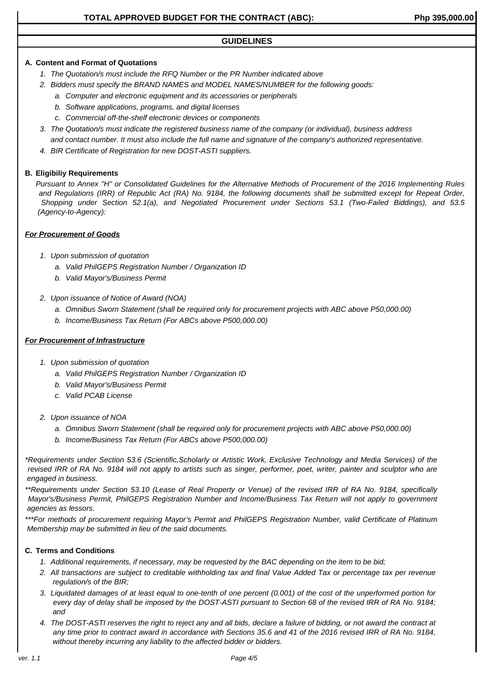### **GUIDELINES**

#### **A. Content and Format of Quotations**

- 1. The Quotation/s must include the RFQ Number or the PR Number indicated above
- 2. Bidders must specify the BRAND NAMES and MODEL NAMES/NUMBER for the following goods:
	- a. Computer and electronic equipment and its accessories or peripherals
		- b. Software applications, programs, and digital licenses
		- c. Commercial off-the-shelf electronic devices or components
- 3. The Quotation/s must indicate the registered business name of the company (or individual), business address and contact number. It must also include the full name and signature of the company's authorized representative.
- 4. BIR Certificate of Registration for new DOST-ASTI suppliers.

#### **B. Eligibiliy Requirements**

Pursuant to Annex "H" or Consolidated Guidelines for the Alternative Methods of Procurement of the 2016 Implementing Rules and Regulations (IRR) of Republic Act (RA) No. 9184, the following documents shall be submitted except for Repeat Order, Shopping under Section 52.1(a), and Negotiated Procurement under Sections 53.1 (Two-Failed Biddings), and 53.5 (Agency-to-Agency):

#### **For Procurement of Goods**

- 1. Upon submission of quotation
	- a. Valid PhilGEPS Registration Number / Organization ID
	- b. Valid Mayor's/Business Permit
- 2. Upon issuance of Notice of Award (NOA)
	- a. Omnibus Sworn Statement (shall be required only for procurement projects with ABC above P50,000.00)
	- b. Income/Business Tax Return (For ABCs above P500,000.00)

#### **For Procurement of Infrastructure**

- 1. Upon submission of quotation
	- a. Valid PhilGEPS Registration Number / Organization ID
	- b. Valid Mayor's/Business Permit
	- c. Valid PCAB License
- 2. Upon issuance of NOA
	- a. Omnibus Sworn Statement (shall be required only for procurement projects with ABC above P50,000.00)
	- b. Income/Business Tax Return (For ABCs above P500,000.00)

\*Requirements under Section 53.6 (Scientific,Scholarly or Artistic Work, Exclusive Technology and Media Services) of the revised IRR of RA No. 9184 will not apply to artists such as singer, performer, poet, writer, painter and sculptor who are engaged in business.

\*\*Requirements under Section 53.10 (Lease of Real Property or Venue) of the revised IRR of RA No. 9184, specifically Mayor's/Business Permit, PhilGEPS Registration Number and Income/Business Tax Return will not apply to government agencies as lessors.

\*\*\*For methods of procurement requiring Mayor's Permit and PhilGEPS Registration Number, valid Certificate of Platinum Membership may be submitted in lieu of the said documents.

#### **C. Terms and Conditions**

- 1. Additional requirements, if necessary, may be requested by the BAC depending on the item to be bid;
- 2. All transactions are subject to creditable withholding tax and final Value Added Tax or percentage tax per revenue regulation/s of the BIR;
- 3. Liquidated damages of at least equal to one-tenth of one percent (0.001) of the cost of the unperformed portion for every day of delay shall be imposed by the DOST-ASTI pursuant to Section 68 of the revised IRR of RA No. 9184; and
- 4. The DOST-ASTI reserves the right to reject any and all bids, declare a failure of bidding, or not award the contract at any time prior to contract award in accordance with Sections 35.6 and 41 of the 2016 revised IRR of RA No. 9184, without thereby incurring any liability to the affected bidder or bidders.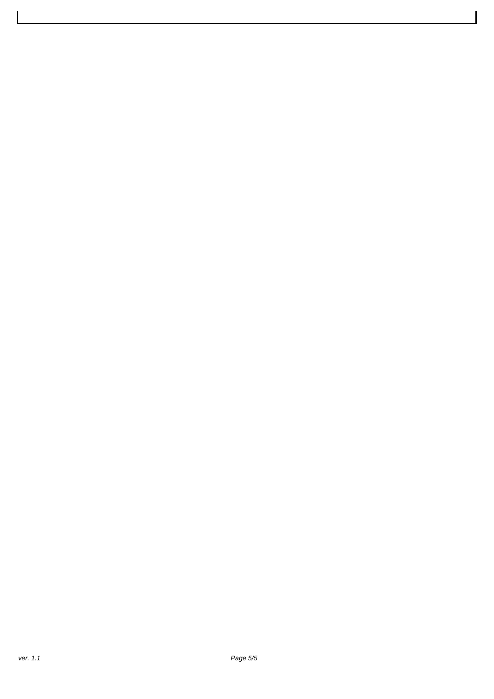I